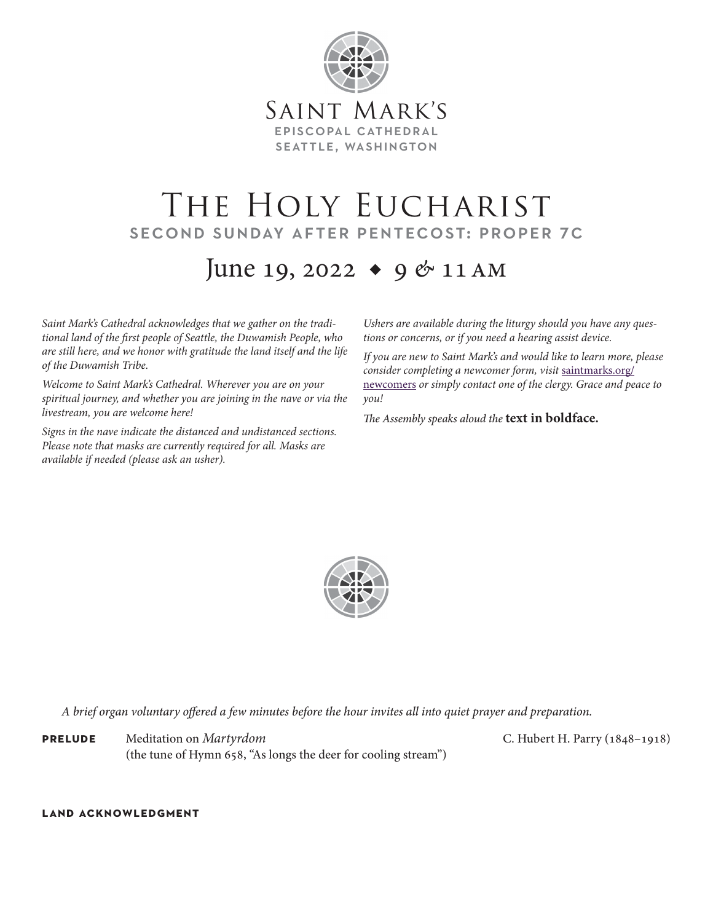

# THE HOLY EUCHARIST second sunday after pentecost: proper 7c

# June 19, 2022 ◆ 9 *&* 11am

*Saint Mark's Cathedral acknowledges that we gather on the traditional land of the first people of Seattle, the Duwamish People, who are still here, and we honor with gratitude the land itself and the life of the Duwamish Tribe.* 

*Welcome to Saint Mark's Cathedral. Wherever you are on your spiritual journey, and whether you are joining in the nave or via the livestream, you are welcome here!*

*Signs in the nave indicate the distanced and undistanced sections. Please note that masks are currently required for all. Masks are available if needed (please ask an usher).*

*Ushers are available during the liturgy should you have any questions or concerns, or if you need a hearing assist device.*

*If you are new to Saint Mark's and would like to learn more, please consider completing a newcomer form, visit* saintmarks.org/ newcomers *or simply contact one of the clergy. Grace and peace to you!*

*The Assembly speaks aloud the* **text in boldface.**



*A brief organ voluntary offered a few minutes before the hour invites all into quiet prayer and preparation.*

**PRELUDE** Meditation on *Martyrdom* **C. Hubert H. Parry (1848–1918)** (the tune of Hymn 658, "As longs the deer for cooling stream")

**land acknowledgment**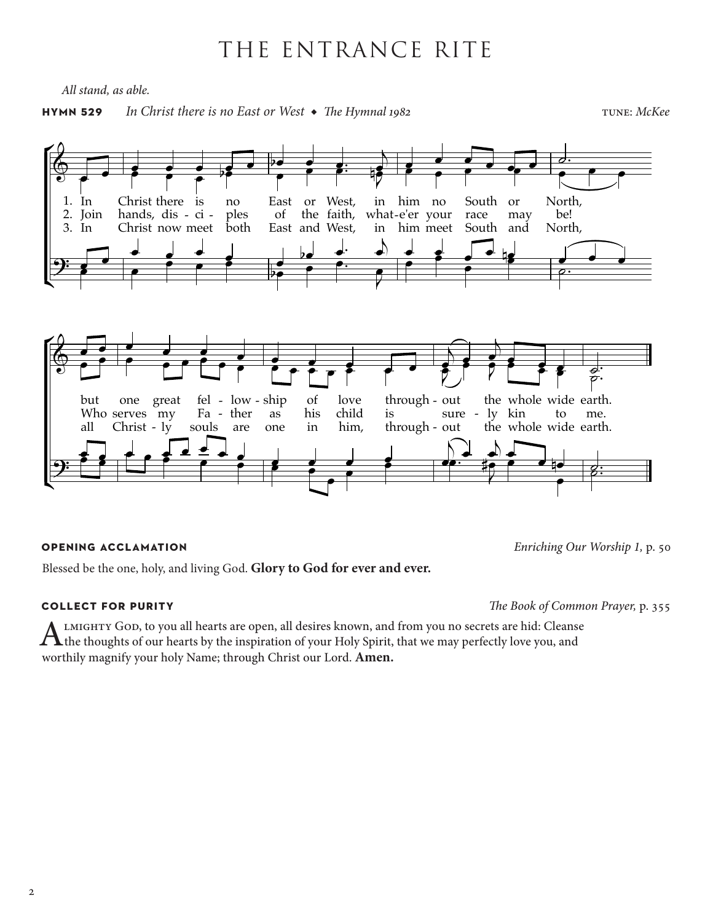# THE ENTRANCE RITE

*All stand, as able.*

## **hymn 529** *In Christ there is no East or West* ◆ *The Hymnal 1982* **the example 1982** TUNE: *McKee*



**opening acclamation** *Enriching Our Worship 1,* p. 50

Blessed be the one, holy, and living God. **Glory to God for ever and ever.**

**collect for purity** *The Book of Common Prayer,* p. 355

ALMIGHTY GOD, to you all hearts are open, all desires known, and from you no secrets are hid: Cleanse<br>the thoughts of our hearts by the inspiration of your Holy Spirit, that we may perfectly love you, and worthily magnify your holy Name; through Christ our Lord. **Amen.**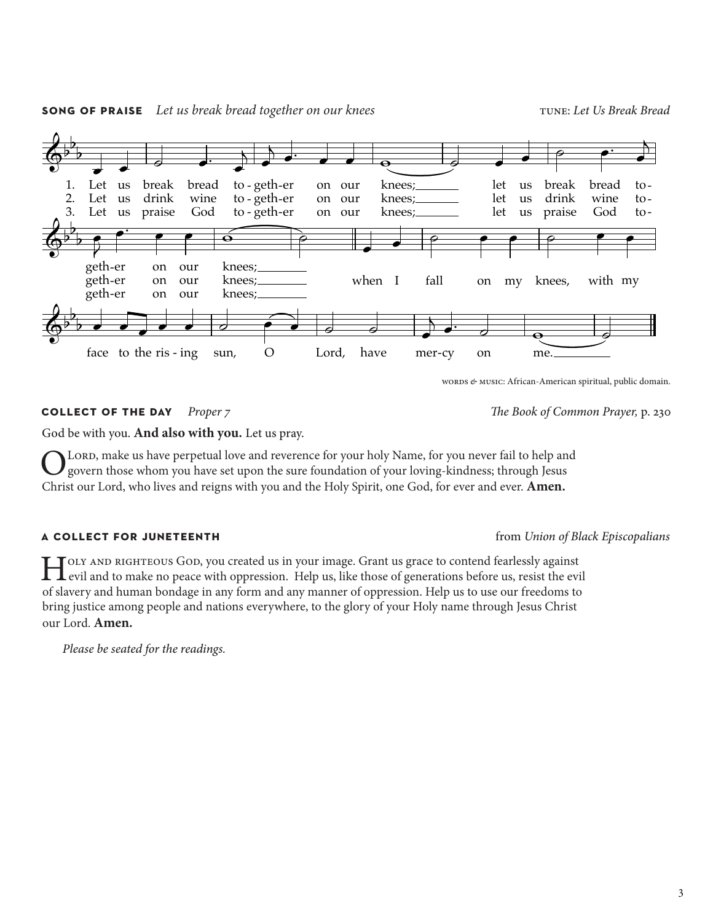

words & Music: African-American spiritual, public domain.

## **collect of the day** *Proper 7 The Book of Common Prayer,* p. 230

God be with you. **And also with you.** Let us pray.

O LORD, make us have perpetual love and reverence for your holy Name, for you never fail to help and govern those whom you have set upon the sure foundation of your loving-kindness; through Jesus Christ our Lord, who lives and reigns with you and the Holy Spirit, one God, for ever and ever. **Amen.**

## **a collect for juneteenth** from *Union of Black Episcopalians*

TOLY AND RIGHTEOUS GOD, you created us in your image. Grant us grace to contend fearlessly against evil and to make no peace with oppression. Help us, like those of generations before us, resist the evil of slavery and human bondage in any form and any manner of oppression. Help us to use our freedoms to bring justice among people and nations everywhere, to the glory of your Holy name through Jesus Christ our Lord. **Amen.**

*Please be seated for the readings.*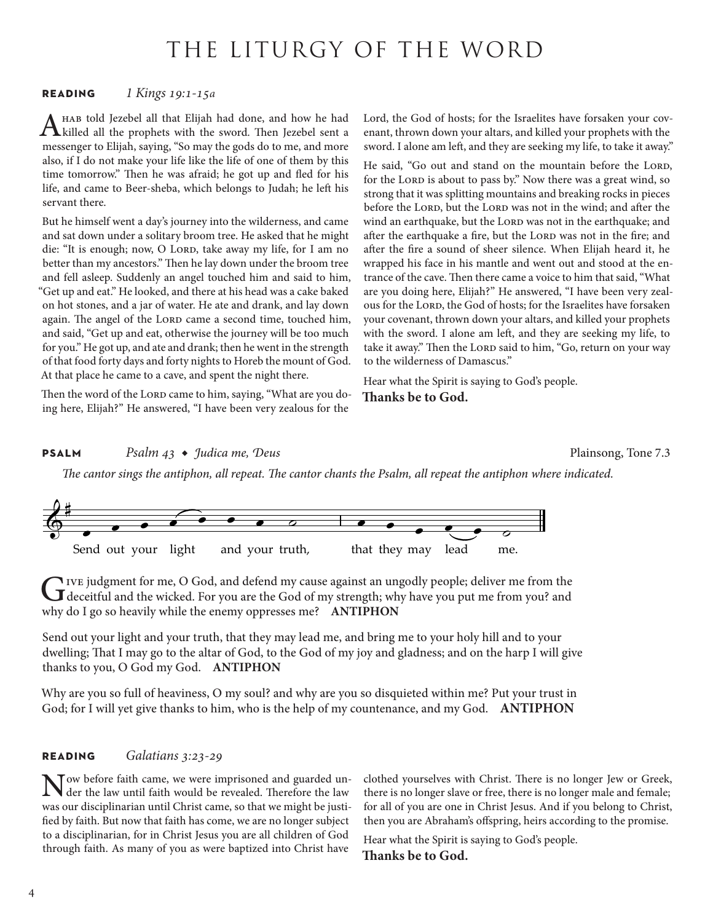# THE LITURGY OF THE WORD

### **reading** *1 Kings 19:1-15a*

A HAB told Jezebel all that Elijah had done, and how he had killed all the prophets with the sword. Then Jezebel sent a messenger to Elijah, saying, "So may the gods do to me, and more also, if I do not make your life like the life of one of them by this time tomorrow." Then he was afraid; he got up and fled for his life, and came to Beer-sheba, which belongs to Judah; he left his servant there.

But he himself went a day's journey into the wilderness, and came and sat down under a solitary broom tree. He asked that he might die: "It is enough; now, O LORD, take away my life, for I am no better than my ancestors." Then he lay down under the broom tree and fell asleep. Suddenly an angel touched him and said to him, "Get up and eat." He looked, and there at his head was a cake baked on hot stones, and a jar of water. He ate and drank, and lay down again. The angel of the LORD came a second time, touched him, and said, "Get up and eat, otherwise the journey will be too much for you." He got up, and ate and drank; then he went in the strength of that food forty days and forty nights to Horeb the mount of God. At that place he came to a cave, and spent the night there.

Then the word of the LORD came to him, saying, "What are you doing here, Elijah?" He answered, "I have been very zealous for the

Lord, the God of hosts; for the Israelites have forsaken your covenant, thrown down your altars, and killed your prophets with the sword. I alone am left, and they are seeking my life, to take it away."

He said, "Go out and stand on the mountain before the LORD, for the LORD is about to pass by." Now there was a great wind, so strong that it was splitting mountains and breaking rocks in pieces before the LORD, but the LORD was not in the wind; and after the wind an earthquake, but the LORD was not in the earthquake; and after the earthquake a fire, but the LORD was not in the fire; and after the fire a sound of sheer silence. When Elijah heard it, he wrapped his face in his mantle and went out and stood at the entrance of the cave. Then there came a voice to him that said, "What are you doing here, Elijah?" He answered, "I have been very zealous for the LORD, the God of hosts; for the Israelites have forsaken your covenant, thrown down your altars, and killed your prophets with the sword. I alone am left, and they are seeking my life, to take it away." Then the LORD said to him, "Go, return on your way to the wilderness of Damascus."

Hear what the Spirit is saying to God's people. **Thanks be to God.**

**PSALM** *Psalm 43* ◆ *Judica me, Deus* Plainsong, Tone 7.3





Give judgment for me, O God, and defend my cause against an ungodly people; deliver me from the deceitful and the wicked. For you are the God of my strength; why have you put me from you? and why do I go so heavily while the enemy oppresses me? **ANTIPHON**

Send out your light and your truth, that they may lead me, and bring me to your holy hill and to your dwelling; That I may go to the altar of God, to the God of my joy and gladness; and on the harp I will give thanks to you, O God my God. **ANTIPHON**

Why are you so full of heaviness, O my soul? and why are you so disquieted within me? Put your trust in God; for I will yet give thanks to him, who is the help of my countenance, and my God. **ANTIPHON**

### **reading** *Galatians 3:23-29*

Tow before faith came, we were imprisoned and guarded under the law until faith would be revealed. Therefore the law was our disciplinarian until Christ came, so that we might be justified by faith. But now that faith has come, we are no longer subject to a disciplinarian, for in Christ Jesus you are all children of God through faith. As many of you as were baptized into Christ have

clothed yourselves with Christ. There is no longer Jew or Greek, there is no longer slave or free, there is no longer male and female; for all of you are one in Christ Jesus. And if you belong to Christ, then you are Abraham's offspring, heirs according to the promise.

Hear what the Spirit is saying to God's people. **Thanks be to God.**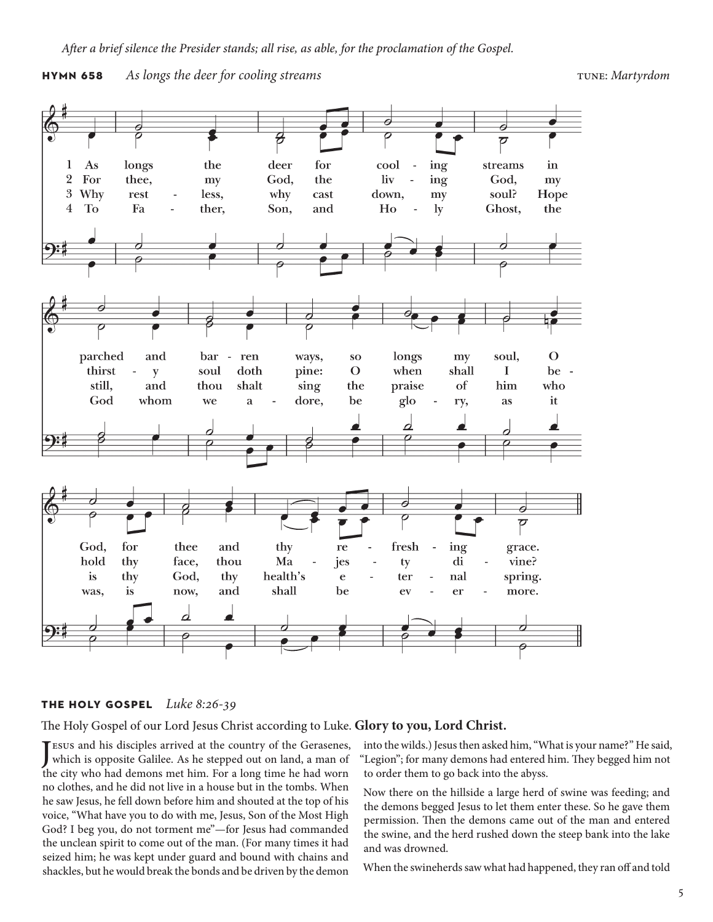**hymn 658** *As longs the deer for cooling streams* **the strategies of the strategies of the strategies of the strategies of the strategies of the strategies of the strategies of the strategies of the strategies of the stra** 



### **the holy gospel** *Luke 8:26-39*

The Holy Gospel of our Lord Jesus Christ according to Luke. **Glory to you, Lord Christ.**

J esus and his disciples arrived at the country of the Gerasenes, which is opposite Galilee. As he stepped out on land, a man of the city who had demons met him. For a long time he had worn no clothes, and he did not live in a house but in the tombs. When he saw Jesus, he fell down before him and shouted at the top of his voice, "What have you to do with me, Jesus, Son of the Most High God? I beg you, do not torment me"—for Jesus had commanded the unclean spirit to come out of the man. (For many times it had seized him; he was kept under guard and bound with chains and shackles, but he would break the bonds and be driven by the demon

into the wilds.) Jesus then asked him, "What is your name?" He said, "Legion"; for many demons had entered him. They begged him not to order them to go back into the abyss.

Now there on the hillside a large herd of swine was feeding; and the demons begged Jesus to let them enter these. So he gave them permission. Then the demons came out of the man and entered the swine, and the herd rushed down the steep bank into the lake and was drowned.

When the swineherds saw what had happened, they ran off and told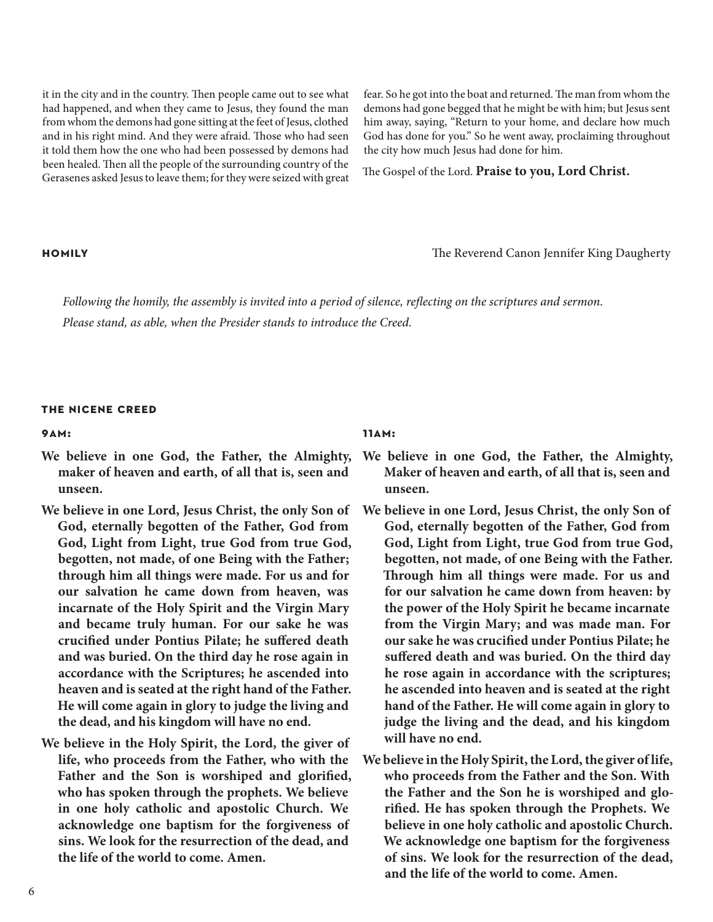it in the city and in the country. Then people came out to see what had happened, and when they came to Jesus, they found the man from whom the demons had gone sitting at the feet of Jesus, clothed and in his right mind. And they were afraid. Those who had seen it told them how the one who had been possessed by demons had been healed. Then all the people of the surrounding country of the Gerasenes asked Jesus to leave them; for they were seized with great fear. So he got into the boat and returned. The man from whom the demons had gone begged that he might be with him; but Jesus sent him away, saying, "Return to your home, and declare how much God has done for you." So he went away, proclaiming throughout the city how much Jesus had done for him.

The Gospel of the Lord. **Praise to you, Lord Christ.**

**homily** The Reverend Canon Jennifer King Daugherty

*Following the homily, the assembly is invited into a period of silence, reflecting on the scriptures and sermon. Please stand, as able, when the Presider stands to introduce the Creed.*

### **the nicene creed**

## **9am: 11am:**

- **We believe in one God, the Father, the Almighty, maker of heaven and earth, of all that is, seen and unseen.**
- **We believe in one Lord, Jesus Christ, the only Son of God, eternally begotten of the Father, God from God, Light from Light, true God from true God, begotten, not made, of one Being with the Father; through him all things were made. For us and for our salvation he came down from heaven, was incarnate of the Holy Spirit and the Virgin Mary and became truly human. For our sake he was crucified under Pontius Pilate; he suffered death and was buried. On the third day he rose again in accordance with the Scriptures; he ascended into heaven and is seated at the right hand of the Father. He will come again in glory to judge the living and the dead, and his kingdom will have no end.**
- **We believe in the Holy Spirit, the Lord, the giver of life, who proceeds from the Father, who with the Father and the Son is worshiped and glorified, who has spoken through the prophets. We believe in one holy catholic and apostolic Church. We acknowledge one baptism for the forgiveness of sins. We look for the resurrection of the dead, and the life of the world to come. Amen.**
- **We believe in one God, the Father, the Almighty, Maker of heaven and earth, of all that is, seen and unseen.**
- **We believe in one Lord, Jesus Christ, the only Son of God, eternally begotten of the Father, God from God, Light from Light, true God from true God, begotten, not made, of one Being with the Father. Through him all things were made. For us and for our salvation he came down from heaven: by the power of the Holy Spirit he became incarnate from the Virgin Mary; and was made man. For our sake he was crucified under Pontius Pilate; he suffered death and was buried. On the third day he rose again in accordance with the scriptures; he ascended into heaven and is seated at the right hand of the Father. He will come again in glory to judge the living and the dead, and his kingdom will have no end.**
- **We believe in the Holy Spirit, the Lord, the giver of life, who proceeds from the Father and the Son. With the Father and the Son he is worshiped and glorified. He has spoken through the Prophets. We believe in one holy catholic and apostolic Church. We acknowledge one baptism for the forgiveness of sins. We look for the resurrection of the dead, and the life of the world to come. Amen.**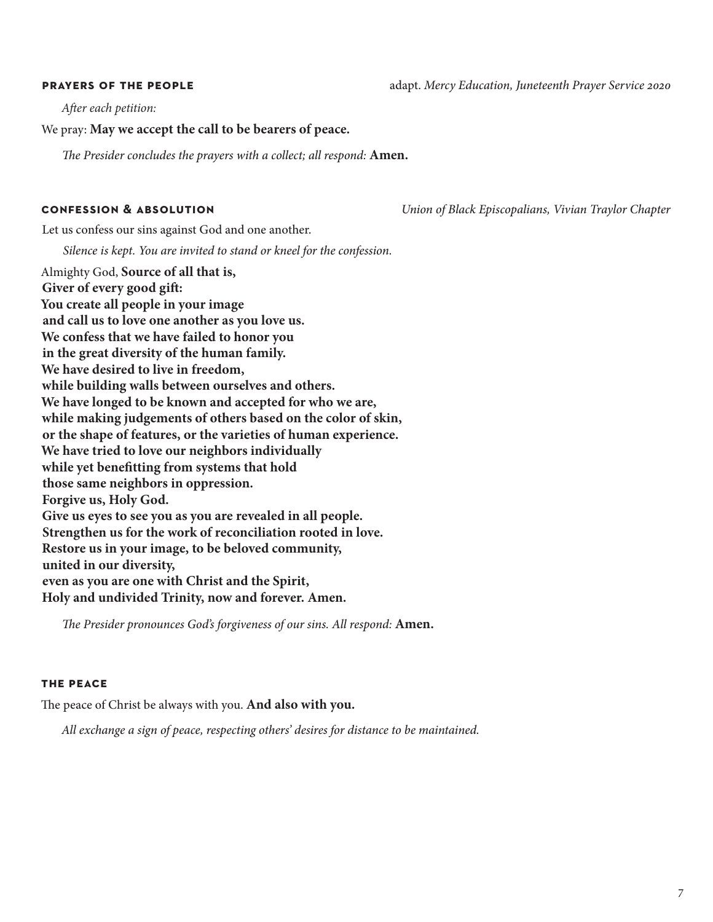*After each petition:*

We pray: **May we accept the call to be bearers of peace.** 

*The Presider concludes the prayers with a collect; all respond: Amen.* 

**confession & absolution** *Union of Black Episcopalians, Vivian Traylor Chapter*

Let us confess our sins against God and one another.

*Silence is kept. You are invited to stand or kneel for the confession.*

Almighty God, **Source of all that is, Giver of every good gift: You create all people in your image and call us to love one another as you love us. We confess that we have failed to honor you in the great diversity of the human family. We have desired to live in freedom, while building walls between ourselves and others. We have longed to be known and accepted for who we are, while making judgements of others based on the color of skin, or the shape of features, or the varieties of human experience. We have tried to love our neighbors individually while yet benefitting from systems that hold those same neighbors in oppression. Forgive us, Holy God. Give us eyes to see you as you are revealed in all people. Strengthen us for the work of reconciliation rooted in love. Restore us in your image, to be beloved community, united in our diversity, even as you are one with Christ and the Spirit, Holy and undivided Trinity, now and forever. Amen.**

*The Presider pronounces God's forgiveness of our sins. All respond:* **Amen.**

### **the peace**

The peace of Christ be always with you. **And also with you.**

*All exchange a sign of peace, respecting others' desires for distance to be maintained.*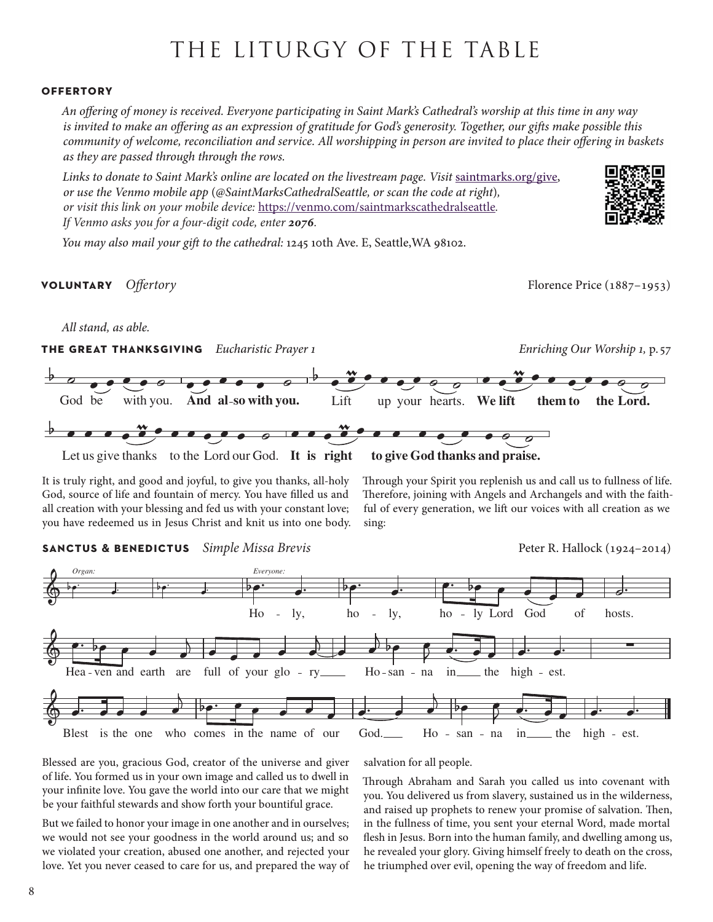# THE LITURGY OF THE TABLE

### **offertory**

*An offering of money is received. Everyone participating in Saint Mark's Cathedral's worship at this time in any way is invited to make an offering as an expression of gratitude for God's generosity. Together, our gifts make possible this community of welcome, reconciliation and service. All worshipping in person are invited to place their offering in baskets as they are passed through through the rows.* 

Links to donate to Saint Mark's online are located on the livestream page. Visit [saintmarks.org/give,](http://saintmarks.org/give) *or use the Venmo mobile app* (*@SaintMarksCathedralSeattle, or scan the code at right*)*, or visit this link on your mobile device:* <https://venmo.com/saintmarkscathedralseattle>*. If Venmo asks you for a four-digit code, enter 2076.*

*You may also mail your gift to the cathedral:* 1245 10th Ave. E, Seattle,WA 98102.

### **VOLUNTARY** *Offertory*

**voluntary** *Offertory* Florence Price (1887–1953)

All stand, as able.



Lord.

them to be a strong to be a strong to be a strong to be a strong to be a strong to be a strong to be a strong <br>them to be a strong to be a strong to be a strong to be a strong to be a strong to be a strong to be a strong Lift up hearts. We  $\overline{\phantom{a}}$ Let us give thanks to the Lord our God. It is right

It is truly right, and good and joyful, to give you thanks, all-holy God, source of life and fountain of mercy. You have filled us and<br>all creation with your blessing and fed us with your constant love: God, source of life and fountain of mercy. You have filled us and all creation with your blessing and fed us with your constant love; you have redeemed us in Jesus Christ and knit us into one body.  $\sum_{i=1}^{n}$ to It is the complete that the complete the complete the complete the complete the complete the complete the complete the complete the complete the complete the complete the complete the complete the complete the complete the  $\frac{1}{1}$ u have redeemed us in Jesus Christ and  $\frac{1}{3}$ 

Through your Spirit you replenish us and call us to fullness of life. Therefore, joining with Angels and Archangels and with the faithful of every generation, we lift our voices with all creation as we it. sing:  $\overline{\phantom{a}}$ thanks Lord God. our to Italian and Italian and Italian and Italian and Italian and Italian and Italian and Italian and Italian and Italian and Italian and Italian and Italian and Italian and Italian and Italian and Italian and Italian and Ita and  $\sigma$ .

### **SANCTUS & BENEDICTUS** Simple Missa Brevis **Peter R. Hallock (1924–2014**)



Blessed are you, gracious God, creator of the universe and giver of life. You formed us in your own image and called us to dwell in your infinite love. You gave the world into our care that we might be your faithful stewards and show forth your bountiful grace.

But we failed to honor your image in one another and in ourselves; we would not see your goodness in the world around us; and so we violated your creation, abused one another, and rejected your love. Yet you never ceased to care for us, and prepared the way of

### salvation for all people.

Through Abraham and Sarah you called us into covenant with you. You delivered us from slavery, sustained us in the wilderness, and raised up prophets to renew your promise of salvation. Then, in the fullness of time, you sent your eternal Word, made mortal flesh in Jesus. Born into the human family, and dwelling among us, he revealed your glory. Giving himself freely to death on the cross, he triumphed over evil, opening the way of freedom and life.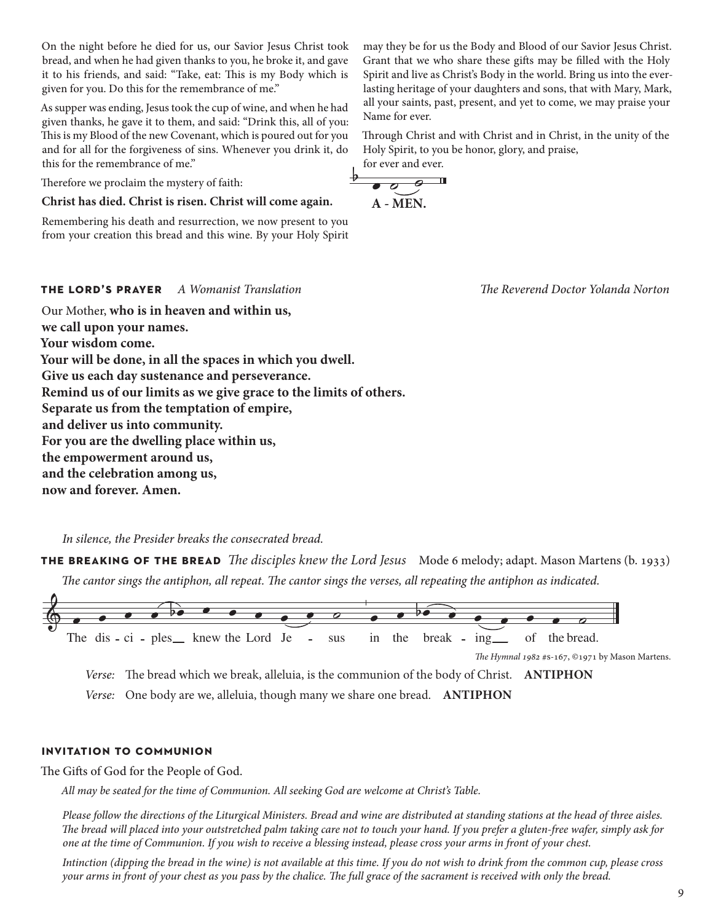On the night before he died for us, our Savior Jesus Christ took bread, and when he had given thanks to you, he broke it, and gave it to his friends, and said: "Take, eat: This is my Body which is given for you. Do this for the remembrance of me."

As supper was ending, Jesus took the cup of wine, and when he had given thanks, he gave it to them, and said: "Drink this, all of you: This is my Blood of the new Covenant, which is poured out for you and for all for the forgiveness of sins. Whenever you drink it, do this for the remembrance of me."

Therefore we proclaim the mystery of faith:

**Christ has died. Christ is risen. Christ will come again.**

Remembering his death and resurrection, we now present to you from your creation this bread and this wine. By your Holy Spirit

## **the lord's prayer** *A Womanist Translation The Reverend Doctor Yolanda Norton*

 may they be for us the Body and Blood of our Savior Jesus Christ. Grant that we who share these gifts may be filled with the Holy all your saints, past, present, and yet to come, we may praise your<br>Name for ever. rans,<br>your Spirit and live as Christ's Body in the world. Bring us into the everlasting heritage of your daughters and sons, that with Mary, Mark, Name for ever.

Through Christ and with Christ and in Christ, in the unity of the Holy Spirit, to you be honor, glory, and praise,

 $\overline{\mathcal{O}}$ MEN. A **A - MEN.** for ever and ever.  $\overline{\bullet}$ 

Our Mother, **who is in heaven and within us, we call upon your names. Your wisdom come. Your will be done, in all the spaces in which you dwell. Give us each day sustenance and perseverance. Remind us of our limits as we give grace to the limits of others. Separate us from the temptation of empire, and deliver us into community. For you are the dwelling place within us, the empowerment around us, and the celebration among us, now and forever. Amen.**

*In silence, the Presider breaks the consecrated bread.*

**the breaking of the bread** *The disciples knew the Lord Jesus* Mode 6 melody; adapt. Mason Martens (b. 1933) *The cantor sings the antiphon, all repeat. The cantor sings the verses, all repeating the antiphon as indicated.*



*Verse:* The bread which we break, alleluia, is the communion of the body of Christ. **ANTIPHON**

*Verse:* One body are we, alleluia, though many we share one bread. **ANTIPHON**

### **invitation to communion**

The Gifts of God for the People of God.

*All may be seated for the time of Communion. All seeking God are welcome at Christ's Table.* 

*Please follow the directions of the Liturgical Ministers. Bread and wine are distributed at standing stations at the head of three aisles. The bread will placed into your outstretched palm taking care not to touch your hand. If you prefer a gluten-free wafer, simply ask for one at the time of Communion. If you wish to receive a blessing instead, please cross your arms in front of your chest.*

*Intinction (dipping the bread in the wine) is not available at this time. If you do not wish to drink from the common cup, please cross your arms in front of your chest as you pass by the chalice. The full grace of the sacrament is received with only the bread.*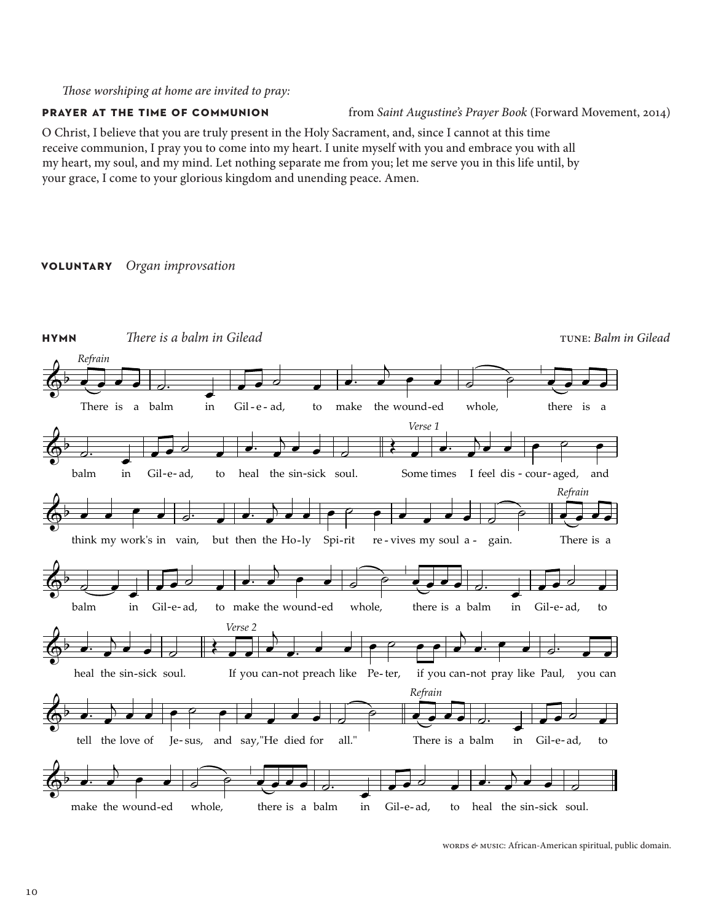*Those worshiping at home are invited to pray:*

**PRAYER AT THE TIME OF COMMUNION** from *Saint Augustine's Prayer Book* (Forward Movement, 2014)

O Christ, I believe that you are truly present in the Holy Sacrament, and, since I cannot at this time receive communion, I pray you to come into my heart. I unite myself with you and embrace you with all my heart, my soul, and my mind. Let nothing separate me from you; let me serve you in this life until, by your grace, I come to your glorious kingdom and unending peace. Amen.

## **voluntary** *Organ improvsation*

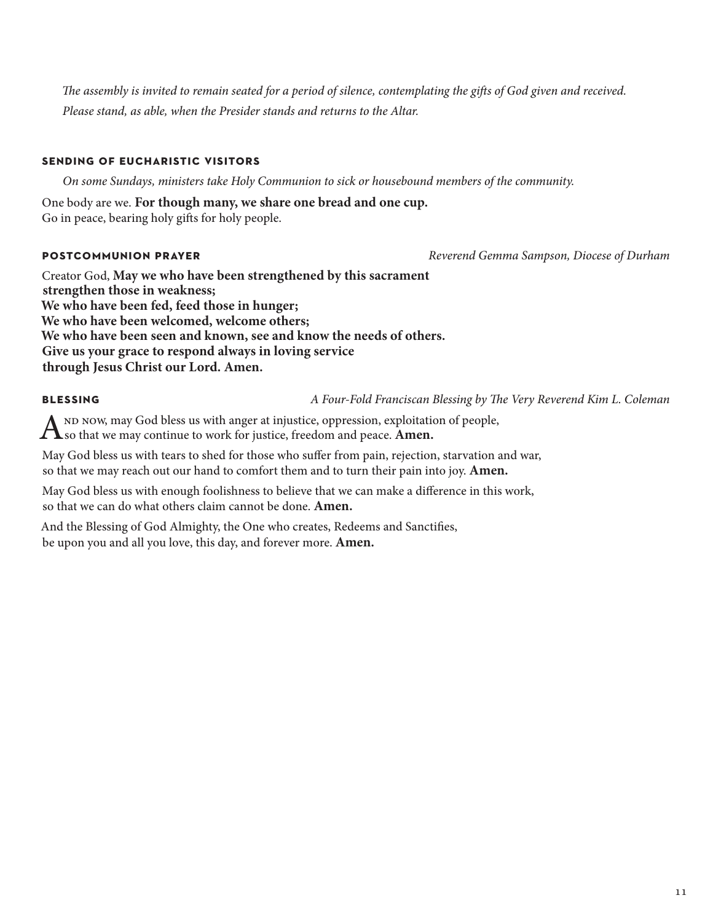*The assembly is invited to remain seated for a period of silence, contemplating the gifts of God given and received. Please stand, as able, when the Presider stands and returns to the Altar.*

## **sending of eucharistic visitors**

*On some Sundays, ministers take Holy Communion to sick or housebound members of the community.* 

One body are we. **For though many, we share one bread and one cup.** Go in peace, bearing holy gifts for holy people.

**postcommunion prayer** *Reverend Gemma Sampson, Diocese of Durham*

Creator God, **May we who have been strengthened by this sacrament strengthen those in weakness; We who have been fed, feed those in hunger; We who have been welcomed, welcome others; We who have been seen and known, see and know the needs of others. Give us your grace to respond always in loving service through Jesus Christ our Lord. Amen.**

**blessing** *A Four-Fold Franciscan Blessing by The Very Reverend Kim L. Coleman*

And now, may God bless us with anger at injustice, oppression, exploitation of people,  $\Lambda$  so that we may continue to work for justice, freedom and peace. Amen.

May God bless us with tears to shed for those who suffer from pain, rejection, starvation and war, so that we may reach out our hand to comfort them and to turn their pain into joy. **Amen.**

May God bless us with enough foolishness to believe that we can make a difference in this work, so that we can do what others claim cannot be done. **Amen.**

And the Blessing of God Almighty, the One who creates, Redeems and Sanctifies, be upon you and all you love, this day, and forever more. **Amen.**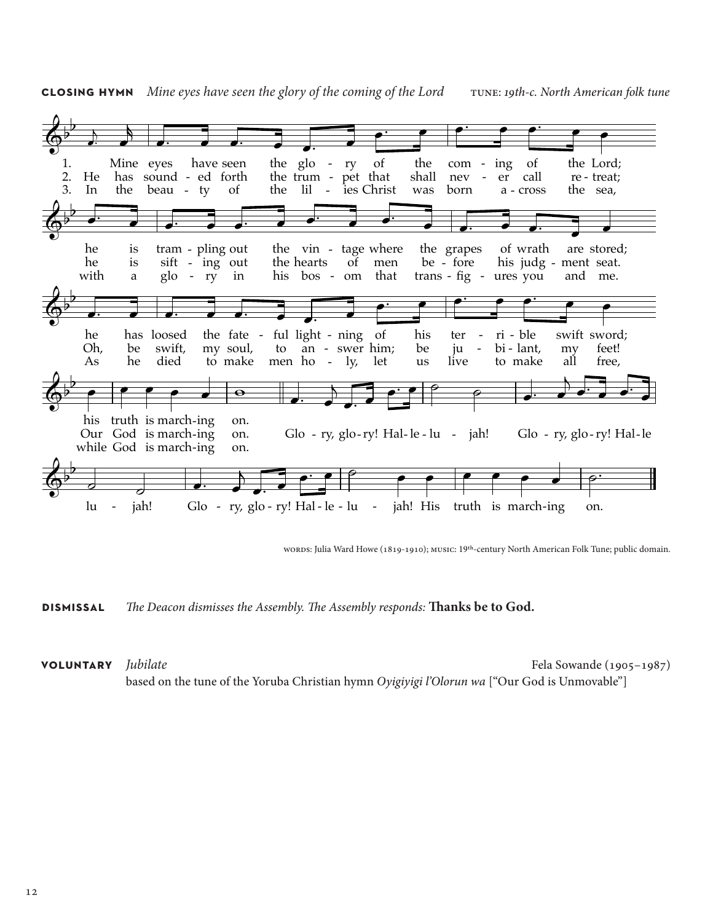

**closing HYMN** Mine eyes have seen the glory of the coming of the Lord TUNE: 19th-c. North American folk tune

words: Julia Ward Howe (1819-1910); music: 19th-century North American Folk Tune; public domain.

**dismissal** *The Deacon dismisses the Assembly. The Assembly responds:* **Thanks be to God.**

**voluntary** *Jubilate* Fela Sowande (1905–1987) based on the tune of the Yoruba Christian hymn *Oyigiyigi l'Olorun wa* ["Our God is Unmovable"]